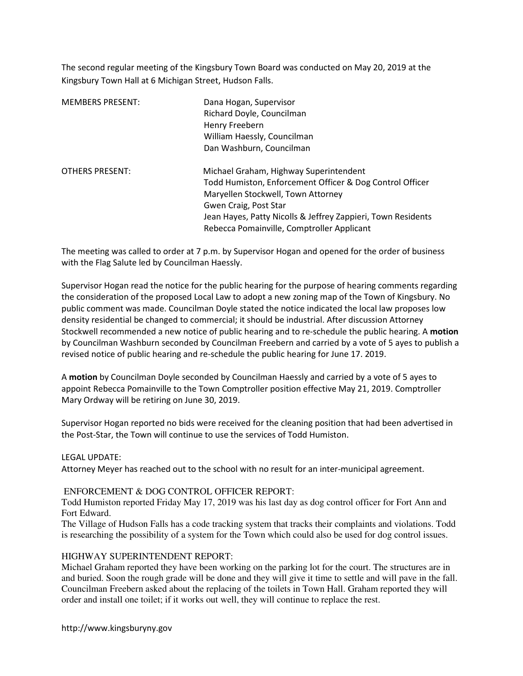The second regular meeting of the Kingsbury Town Board was conducted on May 20, 2019 at the Kingsbury Town Hall at 6 Michigan Street, Hudson Falls.

| <b>MEMBERS PRESENT:</b> | Dana Hogan, Supervisor<br>Richard Doyle, Councilman<br>Henry Freebern<br>William Haessly, Councilman<br>Dan Washburn, Councilman                                                                                                                                                |
|-------------------------|---------------------------------------------------------------------------------------------------------------------------------------------------------------------------------------------------------------------------------------------------------------------------------|
| <b>OTHERS PRESENT:</b>  | Michael Graham, Highway Superintendent<br>Todd Humiston, Enforcement Officer & Dog Control Officer<br>Maryellen Stockwell, Town Attorney<br>Gwen Craig, Post Star<br>Jean Hayes, Patty Nicolls & Jeffrey Zappieri, Town Residents<br>Rebecca Pomainville, Comptroller Applicant |

The meeting was called to order at 7 p.m. by Supervisor Hogan and opened for the order of business with the Flag Salute led by Councilman Haessly.

Supervisor Hogan read the notice for the public hearing for the purpose of hearing comments regarding the consideration of the proposed Local Law to adopt a new zoning map of the Town of Kingsbury. No public comment was made. Councilman Doyle stated the notice indicated the local law proposes low density residential be changed to commercial; it should be industrial. After discussion Attorney Stockwell recommended a new notice of public hearing and to re-schedule the public hearing. A motion by Councilman Washburn seconded by Councilman Freebern and carried by a vote of 5 ayes to publish a revised notice of public hearing and re-schedule the public hearing for June 17. 2019.

A motion by Councilman Doyle seconded by Councilman Haessly and carried by a vote of 5 ayes to appoint Rebecca Pomainville to the Town Comptroller position effective May 21, 2019. Comptroller Mary Ordway will be retiring on June 30, 2019.

Supervisor Hogan reported no bids were received for the cleaning position that had been advertised in the Post-Star, the Town will continue to use the services of Todd Humiston.

# LEGAL UPDATE:

Attorney Meyer has reached out to the school with no result for an inter-municipal agreement.

# ENFORCEMENT & DOG CONTROL OFFICER REPORT:

Todd Humiston reported Friday May 17, 2019 was his last day as dog control officer for Fort Ann and Fort Edward.

The Village of Hudson Falls has a code tracking system that tracks their complaints and violations. Todd is researching the possibility of a system for the Town which could also be used for dog control issues.

# HIGHWAY SUPERINTENDENT REPORT:

Michael Graham reported they have been working on the parking lot for the court. The structures are in and buried. Soon the rough grade will be done and they will give it time to settle and will pave in the fall. Councilman Freebern asked about the replacing of the toilets in Town Hall. Graham reported they will order and install one toilet; if it works out well, they will continue to replace the rest.